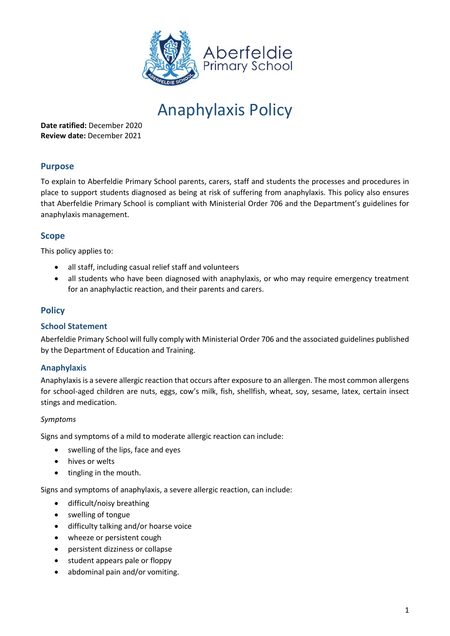

# Anaphylaxis Policy

**Date ratified:** December 2020 **Review date:** December 2021

# **Purpose**

To explain to Aberfeldie Primary School parents, carers, staff and students the processes and procedures in place to support students diagnosed as being at risk of suffering from anaphylaxis. This policy also ensures that Aberfeldie Primary School is compliant with Ministerial Order 706 and the Department's guidelines for anaphylaxis management.

# **Scope**

This policy applies to:

- all staff, including casual relief staff and volunteers
- all students who have been diagnosed with anaphylaxis, or who may require emergency treatment for an anaphylactic reaction, and their parents and carers.

## **Policy**

#### **School Statement**

Aberfeldie Primary School will fully comply with Ministerial Order 706 and the associated guidelines published by the Department of Education and Training.

#### **Anaphylaxis**

Anaphylaxis is a severe allergic reaction that occurs after exposure to an allergen. The most common allergens for school-aged children are nuts, eggs, cow's milk, fish, shellfish, wheat, soy, sesame, latex, certain insect stings and medication.

#### *Symptoms*

Signs and symptoms of a mild to moderate allergic reaction can include:

- swelling of the lips, face and eyes
- hives or welts
- tingling in the mouth.

Signs and symptoms of anaphylaxis, a severe allergic reaction, can include:

- difficult/noisy breathing
- swelling of tongue
- difficulty talking and/or hoarse voice
- wheeze or persistent cough
- persistent dizziness or collapse
- student appears pale or floppy
- abdominal pain and/or vomiting.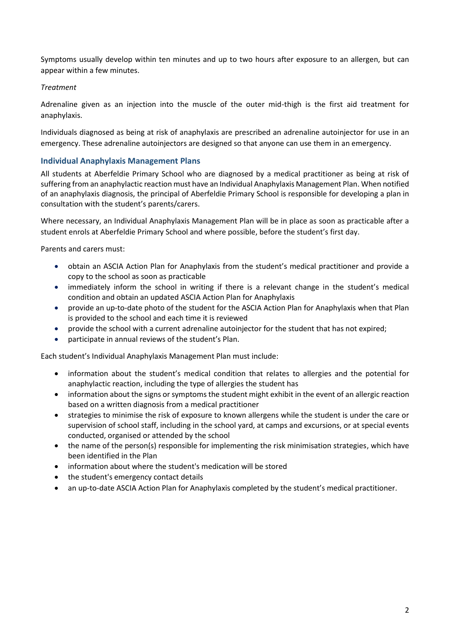Symptoms usually develop within ten minutes and up to two hours after exposure to an allergen, but can appear within a few minutes.

#### *Treatment*

Adrenaline given as an injection into the muscle of the outer mid-thigh is the first aid treatment for anaphylaxis.

Individuals diagnosed as being at risk of anaphylaxis are prescribed an adrenaline autoinjector for use in an emergency. These adrenaline autoinjectors are designed so that anyone can use them in an emergency.

## **Individual Anaphylaxis Management Plans**

All students at Aberfeldie Primary School who are diagnosed by a medical practitioner as being at risk of suffering from an anaphylactic reaction must have an Individual Anaphylaxis Management Plan. When notified of an anaphylaxis diagnosis, the principal of Aberfeldie Primary School is responsible for developing a plan in consultation with the student's parents/carers.

Where necessary, an Individual Anaphylaxis Management Plan will be in place as soon as practicable after a student enrols at Aberfeldie Primary School and where possible, before the student's first day.

Parents and carers must:

- obtain an ASCIA Action Plan for Anaphylaxis from the student's medical practitioner and provide a copy to the school as soon as practicable
- immediately inform the school in writing if there is a relevant change in the student's medical condition and obtain an updated ASCIA Action Plan for Anaphylaxis
- provide an up-to-date photo of the student for the ASCIA Action Plan for Anaphylaxis when that Plan is provided to the school and each time it is reviewed
- provide the school with a current adrenaline autoinjector for the student that has not expired;
- participate in annual reviews of the student's Plan.

Each student's Individual Anaphylaxis Management Plan must include:

- information about the student's medical condition that relates to allergies and the potential for anaphylactic reaction, including the type of allergies the student has
- information about the signs or symptoms the student might exhibit in the event of an allergic reaction based on a written diagnosis from a medical practitioner
- strategies to minimise the risk of exposure to known allergens while the student is under the care or supervision of school staff, including in the school yard, at camps and excursions, or at special events conducted, organised or attended by the school
- the name of the person(s) responsible for implementing the risk minimisation strategies, which have been identified in the Plan
- information about where the student's medication will be stored
- the student's emergency contact details
- an up-to-date ASCIA Action Plan for Anaphylaxis completed by the student's medical practitioner.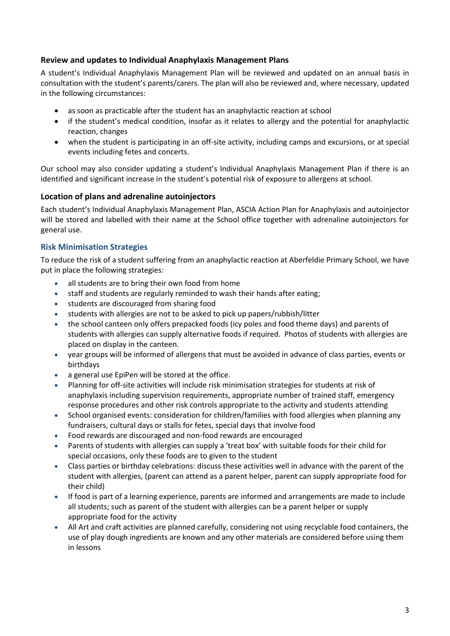## **Review and updates to Individual Anaphylaxis Management Plans**

A student's Individual Anaphylaxis Management Plan will be reviewed and updated on an annual basis in consultation with the student's parents/carers. The plan will also be reviewed and, where necessary, updated in the following circumstances:

- as soon as practicable after the student has an anaphylactic reaction at school
- if the student's medical condition, insofar as it relates to allergy and the potential for anaphylactic reaction, changes
- when the student is participating in an off-site activity, including camps and excursions, or at special events including fetes and concerts.

Our school may also consider updating a student's Individual Anaphylaxis Management Plan if there is an identified and significant increase in the student's potential risk of exposure to allergens at school.

## **Location of plans and adrenaline autoinjectors**

Each student's Individual Anaphylaxis Management Plan, ASCIA Action Plan for Anaphylaxis and autoinjector will be stored and labelled with their name at the School office together with adrenaline autoinjectors for general use.

## **Risk Minimisation Strategies**

To reduce the risk of a student suffering from an anaphylactic reaction at Aberfeldie Primary School, we have put in place the following strategies:

- all students are to bring their own food from home
- staff and students are regularly reminded to wash their hands after eating;
- students are discouraged from sharing food
- students with allergies are not to be asked to pick up papers/rubbish/litter
- the school canteen only offers prepacked foods (icy poles and food theme days) and parents of students with allergies can supply alternative foods if required. Photos of students with allergies are placed on display in the canteen.
- year groups will be informed of allergens that must be avoided in advance of class parties, events or birthdays
- a general use EpiPen will be stored at the office.
- Planning for off-site activities will include risk minimisation strategies for students at risk of anaphylaxis including supervision requirements, appropriate number of trained staff, emergency response procedures and other risk controls appropriate to the activity and students attending
- School organised events: consideration for children/families with food allergies when planning any fundraisers, cultural days or stalls for fetes, special days that involve food
- Food rewards are discouraged and non-food rewards are encouraged
- Parents of students with allergies can supply a 'treat box' with suitable foods for their child for special occasions, only these foods are to given to the student
- Class parties or birthday celebrations: discuss these activities well in advance with the parent of the student with allergies, (parent can attend as a parent helper, parent can supply appropriate food for their child)
- If food is part of a learning experience, parents are informed and arrangements are made to include all students; such as parent of the student with allergies can be a parent helper or supply appropriate food for the activity
- All Art and craft activities are planned carefully, considering not using recyclable food containers, the use of play dough ingredients are known and any other materials are considered before using them in lessons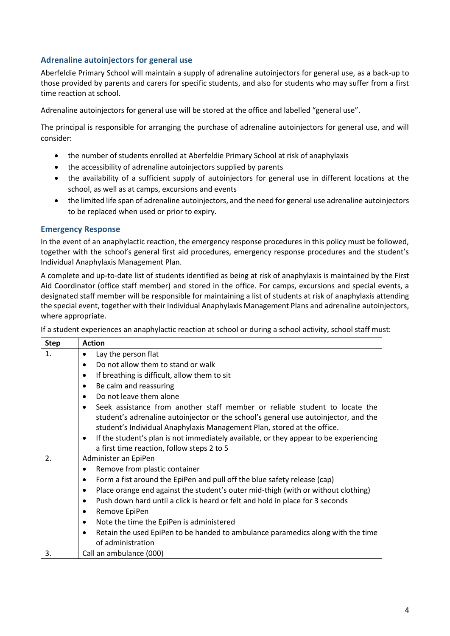## **Adrenaline autoinjectors for general use**

Aberfeldie Primary School will maintain a supply of adrenaline autoinjectors for general use, as a back-up to those provided by parents and carers for specific students, and also for students who may suffer from a first time reaction at school.

Adrenaline autoinjectors for general use will be stored at the office and labelled "general use".

The principal is responsible for arranging the purchase of adrenaline autoinjectors for general use, and will consider:

- the number of students enrolled at Aberfeldie Primary School at risk of anaphylaxis
- the accessibility of adrenaline autoinjectors supplied by parents
- the availability of a sufficient supply of autoinjectors for general use in different locations at the school, as well as at camps, excursions and events
- the limited life span of adrenaline autoinjectors, and the need for general use adrenaline autoinjectors to be replaced when used or prior to expiry.

#### **Emergency Response**

In the event of an anaphylactic reaction, the emergency response procedures in this policy must be followed, together with the school's general first aid procedures, emergency response procedures and the student's Individual Anaphylaxis Management Plan.

A complete and up-to-date list of students identified as being at risk of anaphylaxis is maintained by the First Aid Coordinator (office staff member) and stored in the office. For camps, excursions and special events, a designated staff member will be responsible for maintaining a list of students at risk of anaphylaxis attending the special event, together with their Individual Anaphylaxis Management Plans and adrenaline autoinjectors, where appropriate.

If a student experiences an anaphylactic reaction at school or during a school activity, school staff must:

| <b>Step</b>    | <b>Action</b>                                                                                                     |
|----------------|-------------------------------------------------------------------------------------------------------------------|
| $\mathbf{1}$ . | Lay the person flat<br>٠                                                                                          |
|                | Do not allow them to stand or walk<br>$\bullet$                                                                   |
|                | If breathing is difficult, allow them to sit<br>٠                                                                 |
|                | Be calm and reassuring<br>$\bullet$                                                                               |
|                | Do not leave them alone                                                                                           |
|                | Seek assistance from another staff member or reliable student to locate the<br>$\bullet$                          |
|                | student's adrenaline autoinjector or the school's general use autoinjector, and the                               |
|                | student's Individual Anaphylaxis Management Plan, stored at the office.                                           |
|                | If the student's plan is not immediately available, or they appear to be experiencing<br>$\bullet$                |
|                | a first time reaction, follow steps 2 to 5                                                                        |
| 2.             | Administer an EpiPen                                                                                              |
|                | Remove from plastic container                                                                                     |
|                | Form a fist around the EpiPen and pull off the blue safety release (cap)<br>٠                                     |
|                | Place orange end against the student's outer mid-thigh (with or without clothing)<br>٠                            |
|                | Push down hard until a click is heard or felt and hold in place for 3 seconds<br>$\bullet$                        |
|                | Remove EpiPen<br>٠                                                                                                |
|                | Note the time the EpiPen is administered<br>٠                                                                     |
|                | Retain the used EpiPen to be handed to ambulance paramedics along with the time<br>$\bullet$<br>of administration |
| 3.             | Call an ambulance (000)                                                                                           |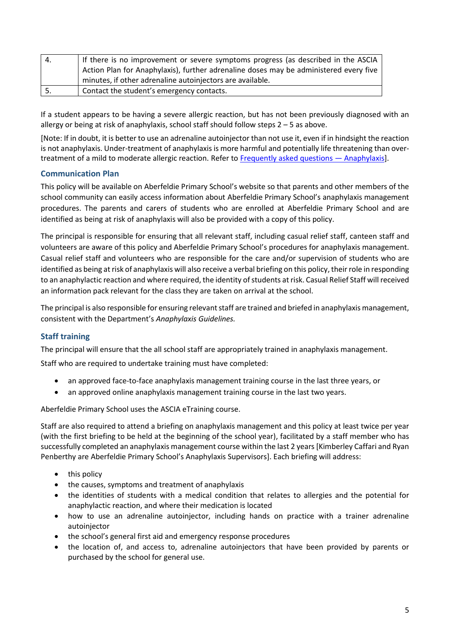| 4.         | If there is no improvement or severe symptoms progress (as described in the ASCIA     |
|------------|---------------------------------------------------------------------------------------|
|            | Action Plan for Anaphylaxis), further adrenaline doses may be administered every five |
|            | minutes, if other adrenaline autoinjectors are available.                             |
| <u>. .</u> | Contact the student's emergency contacts.                                             |

If a student appears to be having a severe allergic reaction, but has not been previously diagnosed with an allergy or being at risk of anaphylaxis, school staff should follow steps  $2 - 5$  as above.

[Note: If in doubt, it is better to use an adrenaline autoinjector than not use it, even if in hindsight the reaction is not anaphylaxis. Under-treatment of anaphylaxis is more harmful and potentially life threatening than overtreatment of a mild to moderate allergic reaction. Refer t[o Frequently asked questions](https://nginx-php-content-policy-det-vic-gov-au-production.lagoon.vicsdp.amazee.io/sites/default/files/2020-03/anaphylaxis-faqs.docx) — Anaphylaxis].

## **Communication Plan**

This policy will be available on Aberfeldie Primary School's website so that parents and other members of the school community can easily access information about Aberfeldie Primary School's anaphylaxis management procedures. The parents and carers of students who are enrolled at Aberfeldie Primary School and are identified as being at risk of anaphylaxis will also be provided with a copy of this policy.

The principal is responsible for ensuring that all relevant staff, including casual relief staff, canteen staff and volunteers are aware of this policy and Aberfeldie Primary School's procedures for anaphylaxis management. Casual relief staff and volunteers who are responsible for the care and/or supervision of students who are identified as being at risk of anaphylaxis will also receive a verbal briefing on this policy, their role in responding to an anaphylactic reaction and where required, the identity of students at risk. Casual Relief Staff will received an information pack relevant for the class they are taken on arrival at the school.

The principal is also responsible for ensuring relevant staff are trained and briefed in anaphylaxis management, consistent with the Department's *Anaphylaxis Guidelines.*

## **Staff training**

The principal will ensure that the all school staff are appropriately trained in anaphylaxis management.

Staff who are required to undertake training must have completed:

- an approved face-to-face anaphylaxis management training course in the last three years, or
- an approved online anaphylaxis management training course in the last two years.

Aberfeldie Primary School uses the ASCIA eTraining course.

Staff are also required to attend a briefing on anaphylaxis management and this policy at least twice per year (with the first briefing to be held at the beginning of the school year), facilitated by a staff member who has successfully completed an anaphylaxis management course within the last 2 years [Kimberley Caffari and Ryan Penberthy are Aberfeldie Primary School's Anaphylaxis Supervisors]. Each briefing will address:

- this policy
- the causes, symptoms and treatment of anaphylaxis
- the identities of students with a medical condition that relates to allergies and the potential for anaphylactic reaction, and where their medication is located
- how to use an adrenaline autoinjector, including hands on practice with a trainer adrenaline autoinjector
- the school's general first aid and emergency response procedures
- the location of, and access to, adrenaline autoinjectors that have been provided by parents or purchased by the school for general use.